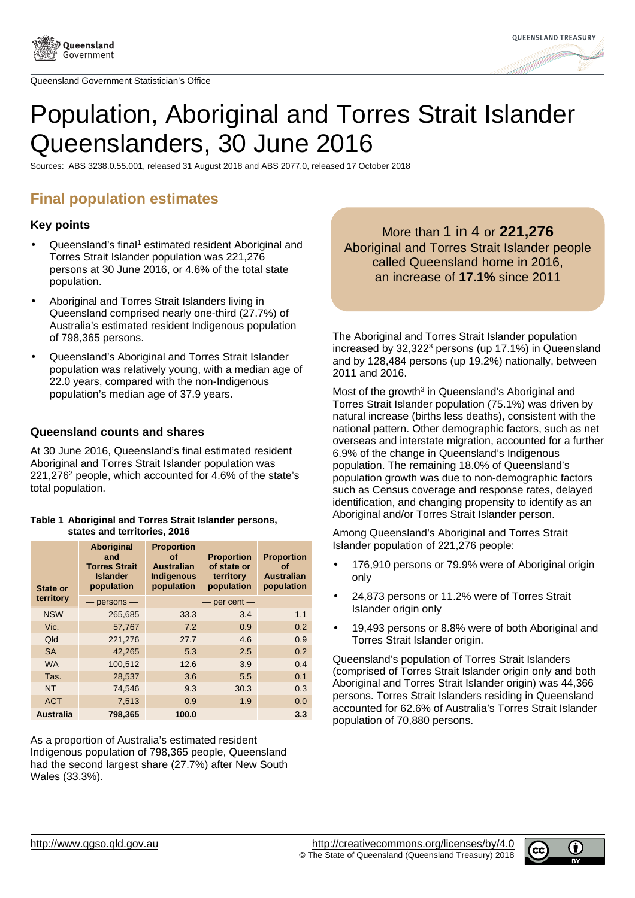



# Population, Aboriginal and Torres Strait Islander Queenslanders, 30 June 2016

Sources: ABS 3238.0.55.001, released 31 August 2018 and ABS 2077.0, released 17 October 2018

# **Final population estimates**

# **Key points**

- Queensland's final<sup>1</sup> estimated resident Aboriginal and Torres Strait Islander population was 221,276 persons at 30 June 2016, or 4.6% of the total state population.
- Aboriginal and Torres Strait Islanders living in Queensland comprised nearly one-third (27.7%) of Australia's estimated resident Indigenous population of 798,365 persons.
- Queensland's Aboriginal and Torres Strait Islander population was relatively young, with a median age of 22.0 years, compared with the non-Indigenous population's median age of 37.9 years.

### **Queensland counts and shares**

At 30 June 2016, Queensland's final estimated resident Aboriginal and Torres Strait Islander population was 221,276<sup>2</sup> people, which accounted for 4.6% of the state's total population.

#### **Table 1 Aboriginal and Torres Strait Islander persons, states and territories, 2016**

| State or         | Aboriginal<br>and<br><b>Torres Strait</b><br><b>Islander</b><br>population | <b>Proportion</b><br>οf<br><b>Australian</b><br><b>Indigenous</b><br>population | <b>Proportion</b><br>of state or<br>territory<br>population | <b>Proportion</b><br>οf<br><b>Australian</b><br>population |
|------------------|----------------------------------------------------------------------------|---------------------------------------------------------------------------------|-------------------------------------------------------------|------------------------------------------------------------|
| territory        | $-$ persons $-$                                                            | $-$ per cent $-$                                                                |                                                             |                                                            |
| <b>NSW</b>       | 265,685                                                                    | 33.3                                                                            | 3.4                                                         | 1.1                                                        |
| Vic.             | 57,767                                                                     | 7.2                                                                             | 0.9                                                         | 0.2                                                        |
| Qld              | 221,276                                                                    | 27.7                                                                            | 4.6                                                         | 0.9                                                        |
| <b>SA</b>        | 42,265                                                                     | 5.3                                                                             | 2.5                                                         | 0.2                                                        |
| <b>WA</b>        | 100,512                                                                    | 12.6                                                                            | 3.9                                                         | 0.4                                                        |
| Tas.             | 28,537                                                                     | 3.6                                                                             | 5.5                                                         | 0.1                                                        |
| <b>NT</b>        | 74,546                                                                     | 9.3                                                                             | 30.3                                                        | 0.3                                                        |
| <b>ACT</b>       | 7,513                                                                      | 0.9                                                                             | 1.9                                                         | 0.0                                                        |
| <b>Australia</b> | 798,365                                                                    | 100.0                                                                           |                                                             | 3.3                                                        |

As a proportion of Australia's estimated resident Indigenous population of 798,365 people, Queensland had the second largest share (27.7%) after New South Wales (33.3%).

More than 1 in 4 or **221,276** Aboriginal and Torres Strait Islander people called Queensland home in 2016, an increase of **17.1%** since 2011

The Aboriginal and Torres Strait Islander population increased by 32,322<sup>3</sup> persons (up 17.1%) in Queensland and by 128,484 persons (up 19.2%) nationally, between 2011 and 2016.

Most of the growth<sup>3</sup> in Queensland's Aboriginal and Torres Strait Islander population (75.1%) was driven by natural increase (births less deaths), consistent with the national pattern. Other demographic factors, such as net overseas and interstate migration, accounted for a further 6.9% of the change in Queensland's Indigenous population. The remaining 18.0% of Queensland's population growth was due to non-demographic factors such as Census coverage and response rates, delayed identification, and changing propensity to identify as an Aboriginal and/or Torres Strait Islander person.

Among Queensland's Aboriginal and Torres Strait Islander population of 221,276 people:

- 176,910 persons or 79.9% were of Aboriginal origin only
- 24,873 persons or 11.2% were of Torres Strait Islander origin only
- 19,493 persons or 8.8% were of both Aboriginal and Torres Strait Islander origin.

Queensland's population of Torres Strait Islanders (comprised of Torres Strait Islander origin only and both Aboriginal and Torres Strait Islander origin) was 44,366 persons. Torres Strait Islanders residing in Queensland accounted for 62.6% of Australia's Torres Strait Islander population of 70,880 persons.

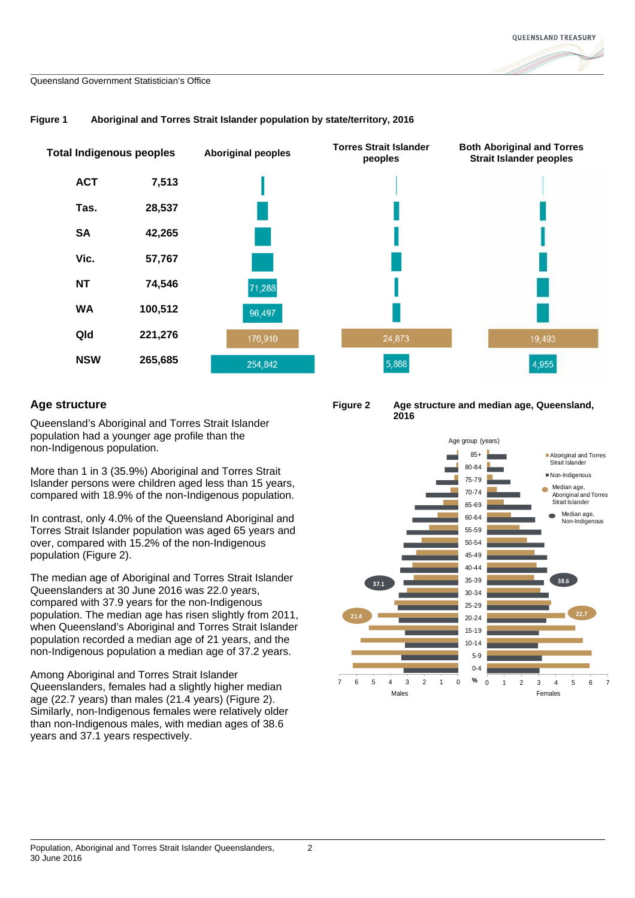

#### **Figure 1 Aboriginal and Torres Strait Islander population by state/territory, 2016**

# **Age structure**

Queensland's Aboriginal and Torres Strait Islander population had a younger age profile than the non-Indigenous population.

More than 1 in 3 (35.9%) Aboriginal and Torres Strait Islander persons were children aged less than 15 years, compared with 18.9% of the non-Indigenous population.

In contrast, only 4.0% of the Queensland Aboriginal and Torres Strait Islander population was aged 65 years and over, compared with 15.2% of the non-Indigenous population (Figure 2).

The median age of Aboriginal and Torres Strait Islander Queenslanders at 30 June 2016 was 22.0 years, compared with 37.9 years for the non-Indigenous population. The median age has risen slightly from 2011, when Queensland's Aboriginal and Torres Strait Islander population recorded a median age of 21 years, and the non-Indigenous population a median age of 37.2 years.

Among Aboriginal and Torres Strait Islander Queenslanders, females had a slightly higher median age (22.7 years) than males (21.4 years) (Figure 2). Similarly, non-Indigenous females were relatively older than non-Indigenous males, with median ages of 38.6 years and 37.1 years respectively.



**Figure 2 Age structure and median age, Queensland, 2016** 

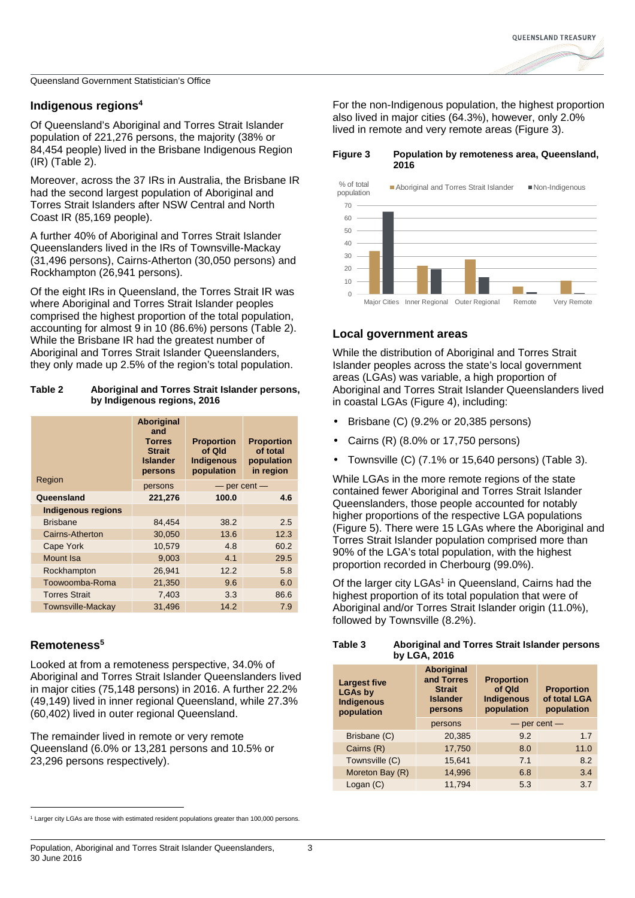## **Indigenous regions<sup>4</sup>**

Of Queensland's Aboriginal and Torres Strait Islander population of 221,276 persons, the majority (38% or 84,454 people) lived in the Brisbane Indigenous Region (IR) (Table 2).

Moreover, across the 37 IRs in Australia, the Brisbane IR had the second largest population of Aboriginal and Torres Strait Islanders after NSW Central and North Coast IR (85,169 people).

A further 40% of Aboriginal and Torres Strait Islander Queenslanders lived in the IRs of Townsville-Mackay (31,496 persons), Cairns-Atherton (30,050 persons) and Rockhampton (26,941 persons).

Of the eight IRs in Queensland, the Torres Strait IR was where Aboriginal and Torres Strait Islander peoples comprised the highest proportion of the total population, accounting for almost 9 in 10 (86.6%) persons (Table 2). While the Brisbane IR had the greatest number of Aboriginal and Torres Strait Islander Queenslanders, they only made up 2.5% of the region's total population.

#### **Table 2 Aboriginal and Torres Strait Islander persons, by Indigenous regions, 2016**

| Region                    | <b>Aboriginal</b><br>and<br><b>Torres</b><br><b>Strait</b><br><b>Islander</b><br>persons | <b>Proportion</b><br>of Qld<br><b>Indigenous</b><br>population | <b>Proportion</b><br>of total<br>population<br>in region |  |
|---------------------------|------------------------------------------------------------------------------------------|----------------------------------------------------------------|----------------------------------------------------------|--|
|                           | persons                                                                                  |                                                                | $-$ per cent $-$                                         |  |
| Queensland                | 221,276                                                                                  | 100.0                                                          | 4.6                                                      |  |
| <b>Indigenous regions</b> |                                                                                          |                                                                |                                                          |  |
| <b>Brisbane</b>           | 84,454                                                                                   | 38.2                                                           | 2.5                                                      |  |
| Cairns-Atherton           | 30.050                                                                                   | 13.6                                                           | 12.3                                                     |  |
| Cape York                 | 10,579                                                                                   | 4.8                                                            | 60.2                                                     |  |
| Mount Isa                 | 9,003                                                                                    | 4.1                                                            | 29.5                                                     |  |
| Rockhampton               | 26,941                                                                                   | 12.2                                                           | 5.8                                                      |  |
| Toowoomba-Roma            | 21,350                                                                                   | 9.6                                                            | 6.0                                                      |  |
| <b>Torres Strait</b>      | 7,403                                                                                    | 3.3                                                            | 86.6                                                     |  |
| <b>Townsville-Mackay</b>  | 31,496                                                                                   | 14.2                                                           | 7.9                                                      |  |

# **Remoteness<sup>5</sup>**

l

Looked at from a remoteness perspective, 34.0% of Aboriginal and Torres Strait Islander Queenslanders lived in major cities (75,148 persons) in 2016. A further 22.2% (49,149) lived in inner regional Queensland, while 27.3% (60,402) lived in outer regional Queensland.

The remainder lived in remote or very remote Queensland (6.0% or 13,281 persons and 10.5% or 23,296 persons respectively).

For the non-Indigenous population, the highest proportion also lived in major cities (64.3%), however, only 2.0% lived in remote and very remote areas (Figure 3).

**Figure 3 Population by remoteness area, Queensland, 2016** 



# **Local government areas**

While the distribution of Aboriginal and Torres Strait Islander peoples across the state's local government areas (LGAs) was variable, a high proportion of Aboriginal and Torres Strait Islander Queenslanders lived in coastal LGAs (Figure 4), including:

- Brisbane (C) (9.2% or 20,385 persons)
- Cairns (R) (8.0% or 17,750 persons)
- Townsville (C) (7.1% or 15,640 persons) (Table 3).

While LGAs in the more remote regions of the state contained fewer Aboriginal and Torres Strait Islander Queenslanders, those people accounted for notably higher proportions of the respective LGA populations (Figure 5). There were 15 LGAs where the Aboriginal and Torres Strait Islander population comprised more than 90% of the LGA's total population, with the highest proportion recorded in Cherbourg (99.0%).

Of the larger city LGAs<sup>1</sup> in Queensland, Cairns had the highest proportion of its total population that were of Aboriginal and/or Torres Strait Islander origin (11.0%), followed by Townsville (8.2%).

| Table 3 | Aboriginal and Torres Strait Islander persons<br>by LGA, 2016 |
|---------|---------------------------------------------------------------|
|         |                                                               |

| <b>Largest five</b><br><b>LGAs by</b><br><b>Indigenous</b><br>population | <b>Aboriginal</b><br>and Torres<br><b>Strait</b><br><b>Islander</b><br>persons | <b>Proportion</b><br>of Qld<br><b>Indigenous</b><br>population | <b>Proportion</b><br>of total LGA<br>population |
|--------------------------------------------------------------------------|--------------------------------------------------------------------------------|----------------------------------------------------------------|-------------------------------------------------|
|                                                                          | persons                                                                        | $-$ per cent $-$                                               |                                                 |
| Brisbane (C)                                                             | 20,385                                                                         | 9.2                                                            | 1.7                                             |
| Cairns (R)                                                               | 17,750                                                                         | 8.0                                                            | 11.0                                            |
| Townsville (C)                                                           | 15,641                                                                         | 7.1                                                            | 8.2                                             |
| Moreton Bay (R)                                                          | 14,996                                                                         | 6.8                                                            | 3.4                                             |
| Logan (C)                                                                | 11.794                                                                         | 5.3                                                            | 3.7                                             |

<sup>1</sup> Larger city LGAs are those with estimated resident populations greater than 100,000 persons.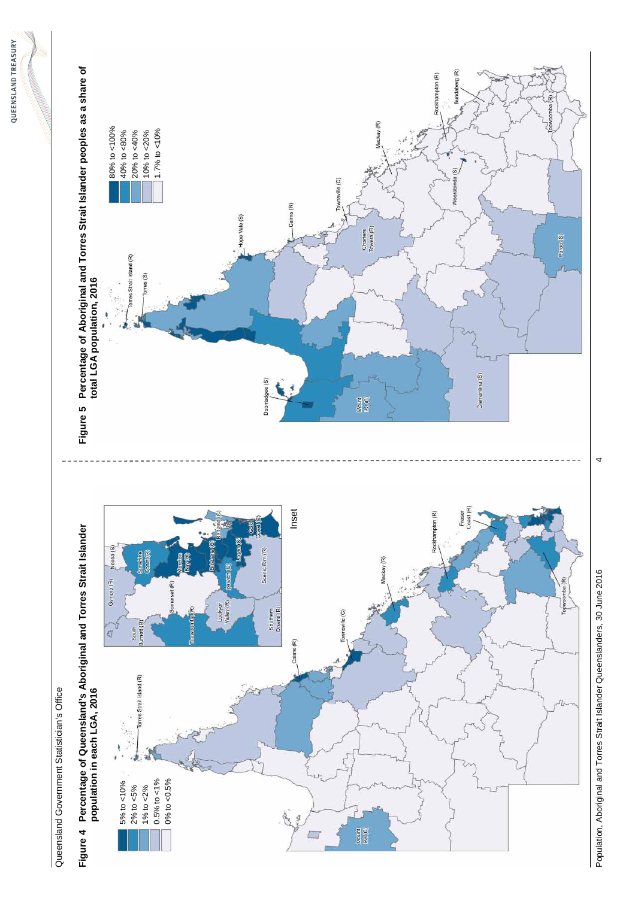

**Figure 4 Percentage of Queensland's Aboriginal and Torres Strait Islander**  Queensland Government Statistician's Office Queensland Government Statistician's Office



Population, Aboriginal and Torres Strait Islander Aboriginal Apollon, 2016 41 June 1916 41 June 2016 41 June 20 Population, Aboriginal and Torres Strait Islander Queenslanders, 30 June 2016

 $\overline{4}$